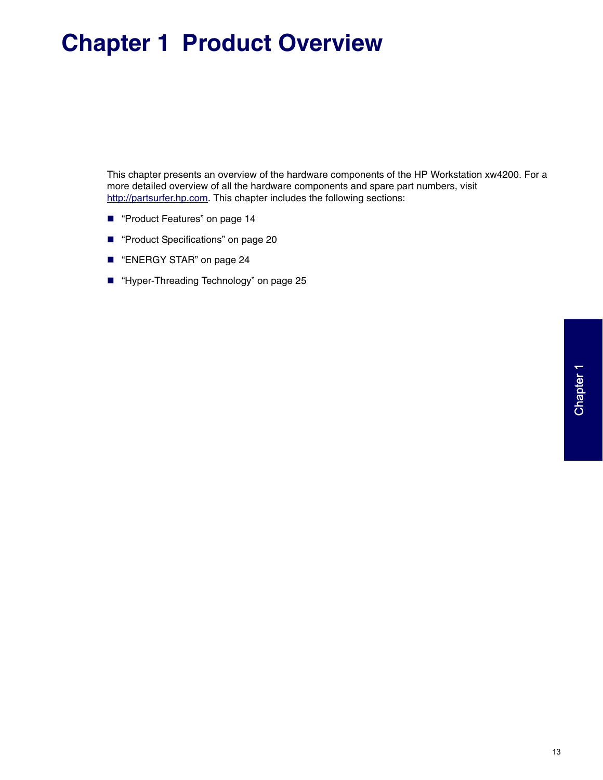# **Chapter 1 Product Overview**

This chapter presents an overview of the hardware components of the HP Workstation xw4200. For a more detailed overview of all the hardware components and spare part numbers, visit http://partsurfer.hp.com. This chapter includes the following sections:

- **Panallet** Features" on page 14
- ["Product Specifications" on page 20](#page-7-0)
- ["ENERGY STAR" on page 24](#page-11-0)
- ["Hyper-Threading Technology" on page 25](#page-12-0)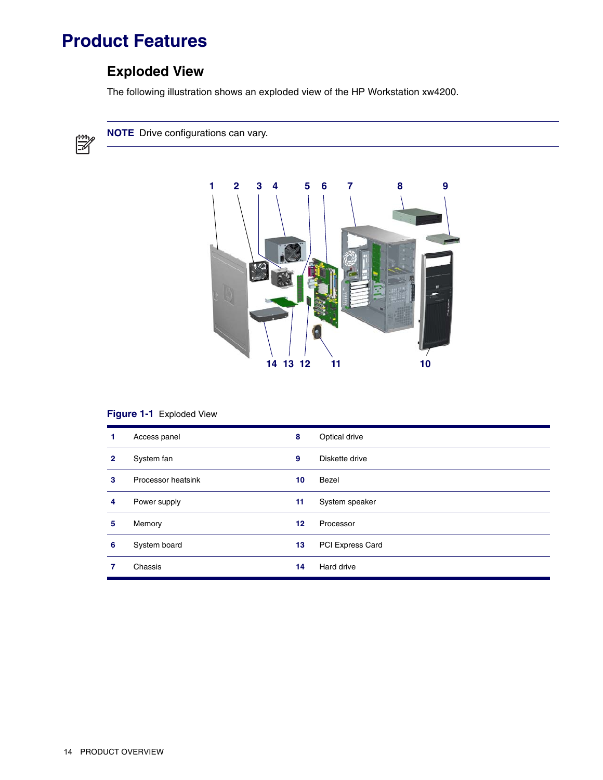# <span id="page-1-0"></span>**Product Features**

# **Exploded View**

The following illustration shows an exploded view of the HP Workstation xw4200.



**NOTE** Drive configurations can vary.



#### **Figure 1-1** Exploded View

|   | Access panel       | 8       | Optical drive    |
|---|--------------------|---------|------------------|
| 2 | System fan         | 9       | Diskette drive   |
| 3 | Processor heatsink | 10      | Bezel            |
| 4 | Power supply       | 11      | System speaker   |
| 5 | Memory             | $12 \,$ | Processor        |
| 6 | System board       | 13      | PCI Express Card |
|   | Chassis            | 14      | Hard drive       |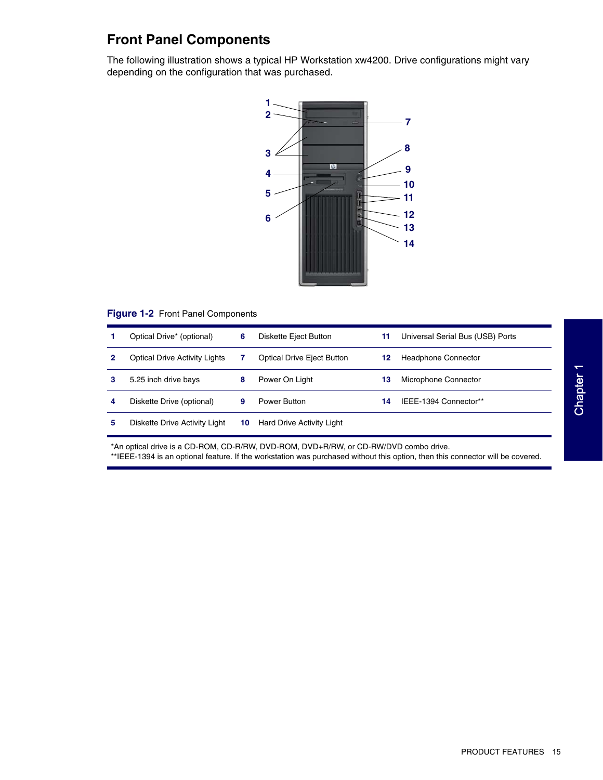## **Front Panel Components**

The following illustration shows a typical HP Workstation xw4200. Drive configurations might vary depending on the configuration that was purchased.



#### **Figure 1-2** Front Panel Components

|   | Optical Drive* (optional)            | 6  | Diskette Eject Button             | 11 | Universal Serial Bus (USB) Ports |
|---|--------------------------------------|----|-----------------------------------|----|----------------------------------|
|   | <b>Optical Drive Activity Lights</b> |    | <b>Optical Drive Eject Button</b> | 12 | <b>Headphone Connector</b>       |
| з | 5.25 inch drive bays                 | 8  | Power On Light                    | 13 | Microphone Connector             |
| 4 | Diskette Drive (optional)            | 9  | Power Button                      | 14 | IEEE-1394 Connector**            |
| 5 | Diskette Drive Activity Light        | 10 | Hard Drive Activity Light         |    |                                  |

\*An optical drive is a CD-ROM, CD-R/RW, DVD-ROM, DVD+R/RW, or CD-RW/DVD combo drive. \*\*IEEE-1394 is an optional feature. If the workstation was purchased without this option, then this connector will be covered.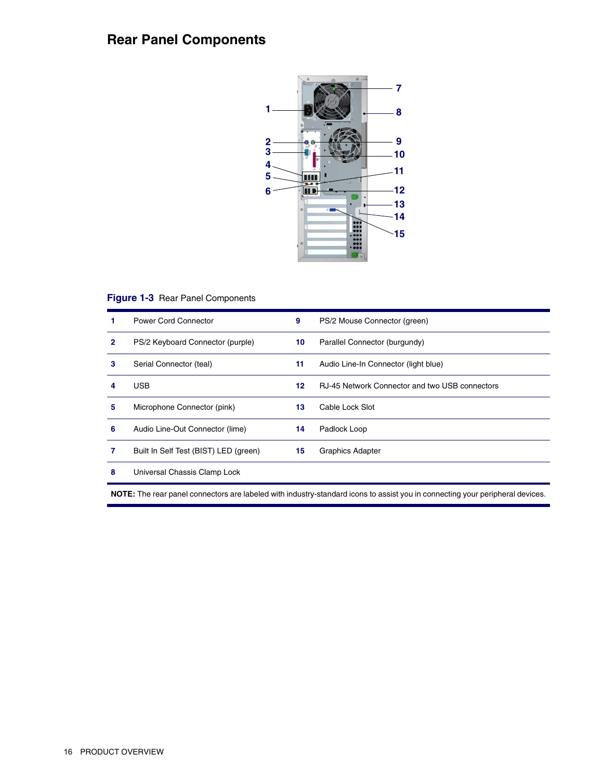# **Rear Panel Components**



#### **Figure 1-3** Rear Panel Components

|   | Power Cord Connector                  | 9  | PS/2 Mouse Connector (green)                   |
|---|---------------------------------------|----|------------------------------------------------|
| 2 | PS/2 Keyboard Connector (purple)      | 10 | Parallel Connector (burgundy)                  |
| з | Serial Connector (teal)               | 11 | Audio Line-In Connector (light blue)           |
| 4 | <b>USB</b>                            | 12 | RJ-45 Network Connector and two USB connectors |
| 5 | Microphone Connector (pink)           | 13 | Cable Lock Slot                                |
| 6 | Audio Line-Out Connector (lime)       | 14 | Padlock Loop                                   |
| 7 | Built In Self Test (BIST) LED (green) | 15 | <b>Graphics Adapter</b>                        |
| 8 | Universal Chassis Clamp Lock          |    |                                                |

**NOTE:** The rear panel connectors are labeled with industry-standard icons to assist you in connecting your peripheral devices.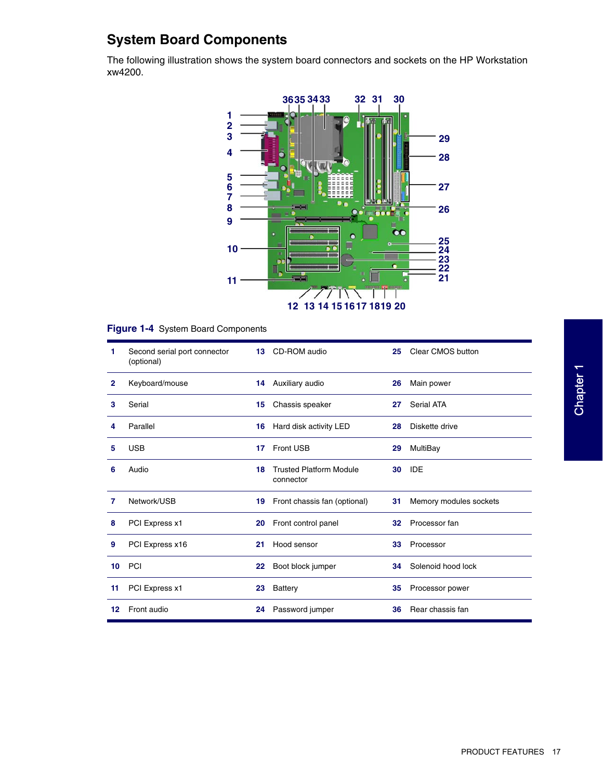# **System Board Components**

The following illustration shows the system board connectors and sockets on the HP Workstation xw4200.



#### **Figure 1-4** System Board Components

| 1            | Second serial port connector<br>(optional) | 13 | Clear CMOS button<br>CD-ROM audio<br>25     |    |                        |
|--------------|--------------------------------------------|----|---------------------------------------------|----|------------------------|
| $\mathbf{2}$ | Keyboard/mouse                             | 14 | Auxiliary audio                             | 26 | Main power             |
| 3            | Serial                                     | 15 | Chassis speaker                             | 27 | Serial ATA             |
| 4            | Parallel                                   | 16 | Hard disk activity LED                      | 28 | Diskette drive         |
| 5            | <b>USB</b>                                 | 17 | <b>Front USB</b>                            | 29 | MultiBay               |
| 6            | Audio                                      | 18 | <b>Trusted Platform Module</b><br>connector | 30 | <b>IDE</b>             |
| 7            | Network/USB                                | 19 | Front chassis fan (optional)                | 31 | Memory modules sockets |
| 8            | PCI Express x1                             | 20 | Front control panel                         | 32 | Processor fan          |
| 9            | PCI Express x16                            | 21 | Hood sensor                                 | 33 | Processor              |
| 10           | PCI                                        | 22 | Boot block jumper                           | 34 | Solenoid hood lock     |
| 11           | PCI Express x1                             | 23 | Battery                                     | 35 | Processor power        |
| 12           | Front audio                                | 24 | Password jumper                             | 36 | Rear chassis fan       |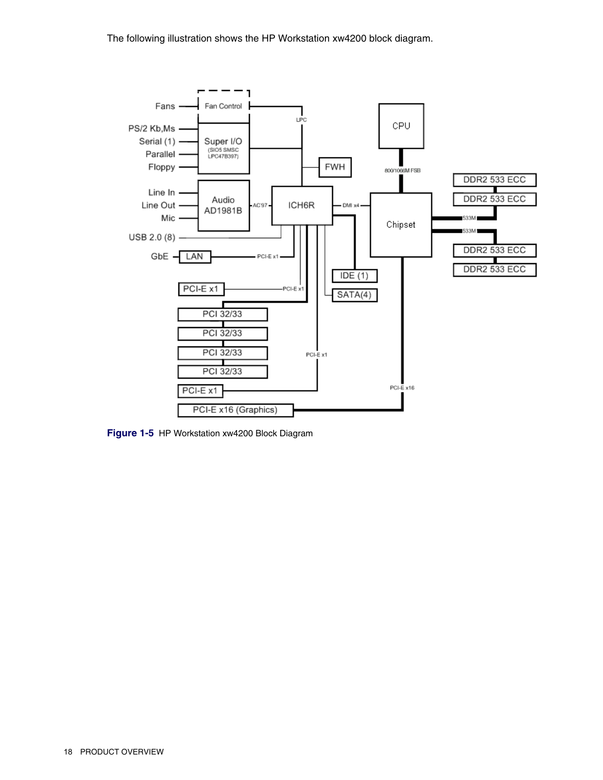The following illustration shows the HP Workstation xw4200 block diagram.



**Figure 1-5** HP Workstation xw4200 Block Diagram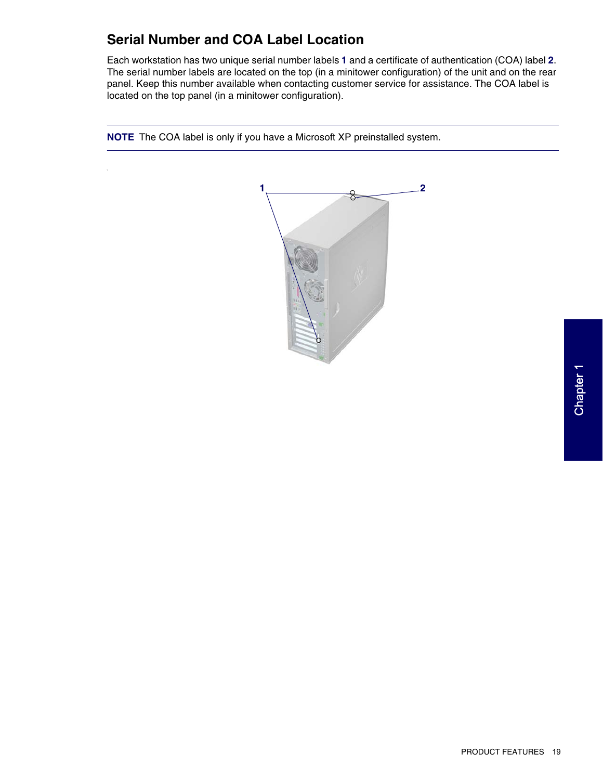## **Serial Number and COA Label Location**

Each workstation has two unique serial number labels **1** and a certificate of authentication (COA) label **2**. The serial number labels are located on the top (in a minitower configuration) of the unit and on the rear panel. Keep this number available when contacting customer service for assistance. The COA label is located on the top panel (in a minitower configuration).



**NOTE** The COA label is only if you have a Microsoft XP preinstalled system.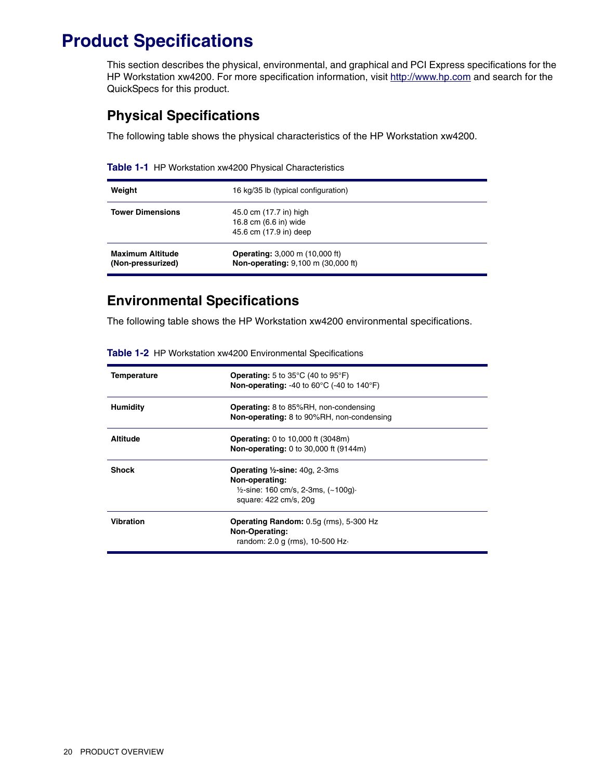# <span id="page-7-0"></span>**Product Specifications**

This section describes the physical, environmental, and graphical and PCI Express specifications for the HP Workstation xw4200. For more specification information, visit [http://www.hp.com](www.hp.com) and search for the QuickSpecs for this product.

#### **Physical Specifications**

The following table shows the physical characteristics of the HP Workstation xw4200.

| Table 1-1 HP Workstation xw4200 Physical Characteristics |  |
|----------------------------------------------------------|--|
|----------------------------------------------------------|--|

| Weight                                       | 16 kg/35 lb (typical configuration)                                         |
|----------------------------------------------|-----------------------------------------------------------------------------|
| <b>Tower Dimensions</b>                      | 45.0 cm (17.7 in) high<br>16.8 cm (6.6 in) wide<br>45.6 cm (17.9 in) deep   |
| <b>Maximum Altitude</b><br>(Non-pressurized) | <b>Operating:</b> 3,000 m (10,000 ft)<br>Non-operating: 9,100 m (30,000 ft) |

#### **Environmental Specifications**

The following table shows the HP Workstation xw4200 environmental specifications.

| Temperature      | <b>Operating:</b> 5 to $35^{\circ}$ C (40 to $95^{\circ}$ F)<br><b>Non-operating:</b> -40 to 60 $^{\circ}$ C (-40 to 140 $^{\circ}$ F)                  |  |
|------------------|---------------------------------------------------------------------------------------------------------------------------------------------------------|--|
| <b>Humidity</b>  | <b>Operating:</b> 8 to 85%RH, non-condensing<br>Non-operating: 8 to 90%RH, non-condensing                                                               |  |
| <b>Altitude</b>  | <b>Operating:</b> 0 to 10,000 ft (3048m)<br>Non-operating: 0 to 30,000 ft (9144m)                                                                       |  |
| <b>Shock</b>     | <b>Operating <math>\frac{1}{2}</math>-sine:</b> 40g, 2-3ms<br>Non-operating:<br>$\frac{1}{2}$ -sine: 160 cm/s, 2-3ms, (~100g).<br>square: 422 cm/s, 20g |  |
| <b>Vibration</b> | <b>Operating Random:</b> 0.5g (rms), 5-300 Hz<br>Non-Operating:<br>random: 2.0 g (rms), 10-500 Hz-                                                      |  |

**Table 1-2** HP Workstation xw4200 Environmental Specifications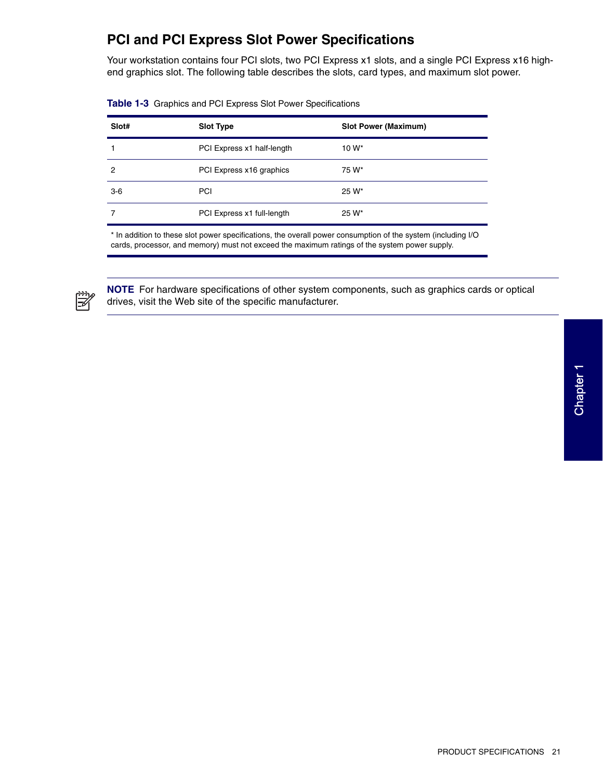### **PCI and PCI Express Slot Power Specifications**

Your workstation contains four PCI slots, two PCI Express x1 slots, and a single PCI Express x16 highend graphics slot. The following table describes the slots, card types, and maximum slot power.

| Slot# | <b>Slot Type</b>           | <b>Slot Power (Maximum)</b> |
|-------|----------------------------|-----------------------------|
|       | PCI Express x1 half-length | $10 W^*$                    |
| 2     | PCI Express x16 graphics   | 75 W*                       |
| $3-6$ | <b>PCI</b>                 | 25 W*                       |
|       | PCI Express x1 full-length | 25 W*                       |
|       |                            |                             |

|  |  |  |  | Table 1-3 Graphics and PCI Express Slot Power Specifications |
|--|--|--|--|--------------------------------------------------------------|
|--|--|--|--|--------------------------------------------------------------|

\* In addition to these slot power specifications, the overall power consumption of the system (including I/O cards, processor, and memory) must not exceed the maximum ratings of the system power supply.



**NOTE** For hardware specifications of other system components, such as graphics cards or optical drives, visit the Web site of the specific manufacturer.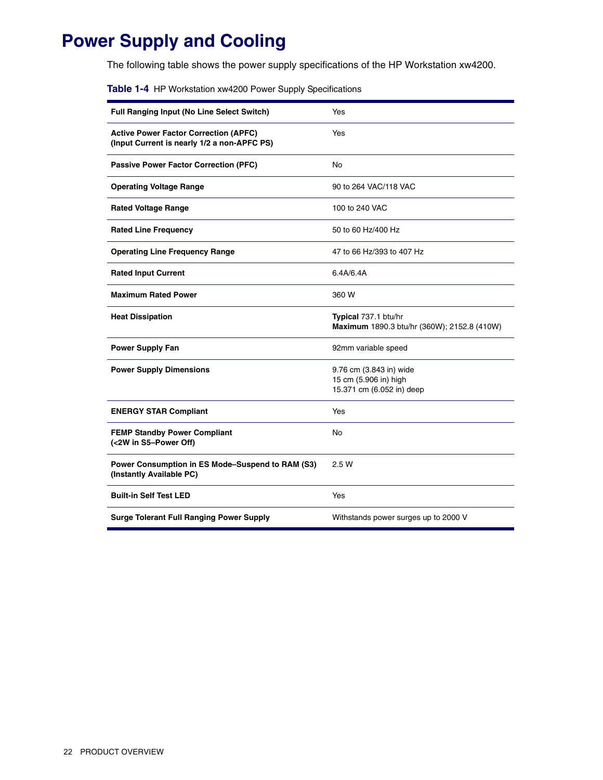# **Power Supply and Cooling**

The following table shows the power supply specifications of the HP Workstation xw4200.

| Table 1-4 HP Workstation xw4200 Power Supply Specifications |  |
|-------------------------------------------------------------|--|
|-------------------------------------------------------------|--|

| Full Ranging Input (No Line Select Switch)                                                  | Yes                                                                           |
|---------------------------------------------------------------------------------------------|-------------------------------------------------------------------------------|
| <b>Active Power Factor Correction (APFC)</b><br>(Input Current is nearly 1/2 a non-APFC PS) | Yes                                                                           |
| <b>Passive Power Factor Correction (PFC)</b>                                                | No                                                                            |
| <b>Operating Voltage Range</b>                                                              | 90 to 264 VAC/118 VAC                                                         |
| <b>Rated Voltage Range</b>                                                                  | 100 to 240 VAC                                                                |
| <b>Rated Line Frequency</b>                                                                 | 50 to 60 Hz/400 Hz                                                            |
| <b>Operating Line Frequency Range</b>                                                       | 47 to 66 Hz/393 to 407 Hz                                                     |
| <b>Rated Input Current</b>                                                                  | 6.4A/6.4A                                                                     |
| <b>Maximum Rated Power</b>                                                                  | 360 W                                                                         |
| <b>Heat Dissipation</b>                                                                     | Typical 737.1 btu/hr<br>Maximum 1890.3 btu/hr (360W); 2152.8 (410W)           |
| <b>Power Supply Fan</b>                                                                     | 92mm variable speed                                                           |
| <b>Power Supply Dimensions</b>                                                              | 9.76 cm (3.843 in) wide<br>15 cm (5.906 in) high<br>15.371 cm (6.052 in) deep |
| <b>ENERGY STAR Compliant</b>                                                                | Yes                                                                           |
| <b>FEMP Standby Power Compliant</b><br>(<2W in S5-Power Off)                                | No                                                                            |
| Power Consumption in ES Mode-Suspend to RAM (S3)<br>(Instantly Available PC)                | 2.5 W                                                                         |
| <b>Built-in Self Test LED</b>                                                               | Yes                                                                           |
| <b>Surge Tolerant Full Ranging Power Supply</b>                                             | Withstands power surges up to 2000 V                                          |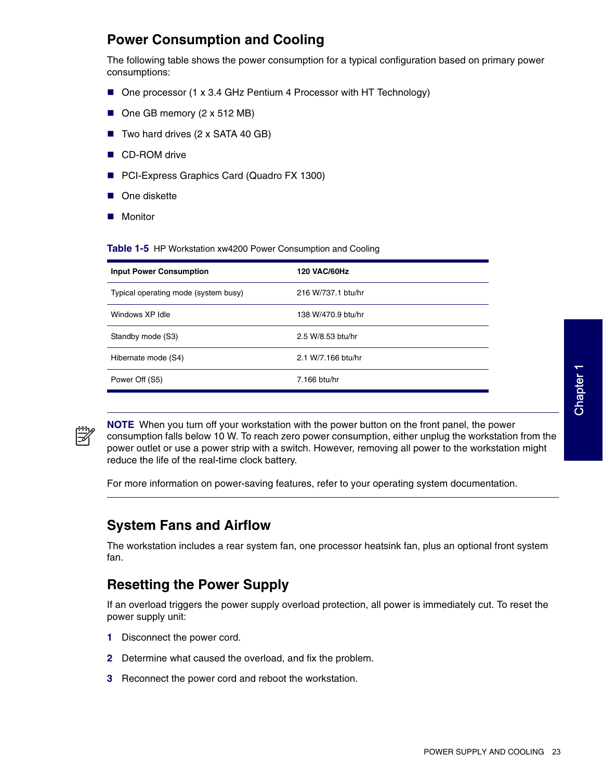## **Power Consumption and Cooling**

The following table shows the power consumption for a typical configuration based on primary power consumptions:

- One processor (1 x 3.4 GHz Pentium 4 Processor with HT Technology)
- One GB memory (2 x 512 MB)
- $\blacksquare$  Two hard drives (2 x SATA 40 GB)
- CD-ROM drive
- PCI-Express Graphics Card (Quadro FX 1300)
- One diskette
- **Monitor**

**Table 1-5** HP Workstation xw4200 Power Consumption and Cooling

| <b>Input Power Consumption</b>       | <b>120 VAC/60Hz</b> |
|--------------------------------------|---------------------|
| Typical operating mode (system busy) | 216 W/737.1 btu/hr  |
| Windows XP Idle                      | 138 W/470.9 btu/hr  |
| Standby mode (S3)                    | 2.5 W/8.53 btu/hr   |
| Hibernate mode (S4)                  | 2.1 W/7.166 btu/hr  |
| Power Off (S5)                       | 7.166 btu/hr        |



**NOTE** When you turn off your workstation with the power button on the front panel, the power consumption falls below 10 W. To reach zero power consumption, either unplug the workstation from the power outlet or use a power strip with a switch. However, removing all power to the workstation might reduce the life of the real-time clock battery.

For more information on power-saving features, refer to your operating system documentation.

### **System Fans and Airflow**

The workstation includes a rear system fan, one processor heatsink fan, plus an optional front system fan.

### **Resetting the Power Supply**

If an overload triggers the power supply overload protection, all power is immediately cut. To reset the power supply unit:

- **1** Disconnect the power cord.
- **2** Determine what caused the overload, and fix the problem.
- **3** Reconnect the power cord and reboot the workstation.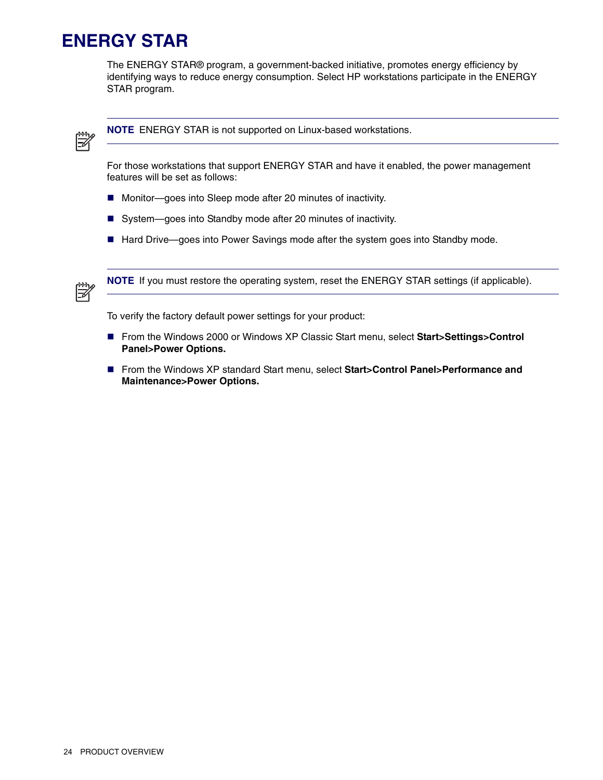# <span id="page-11-0"></span>**ENERGY STAR**

The ENERGY STAR® program, a government-backed initiative, promotes energy efficiency by identifying ways to reduce energy consumption. Select HP workstations participate in the ENERGY STAR program.



**NOTE** ENERGY STAR is not supported on Linux-based workstations.

For those workstations that support ENERGY STAR and have it enabled, the power management features will be set as follows:

- Monitor—goes into Sleep mode after 20 minutes of inactivity.
- System-goes into Standby mode after 20 minutes of inactivity.
- Hard Drive—goes into Power Savings mode after the system goes into Standby mode.



**NOTE** If you must restore the operating system, reset the ENERGY STAR settings (if applicable).

To verify the factory default power settings for your product:

- From the Windows 2000 or Windows XP Classic Start menu, select **Start>Settings>Control Panel>Power Options.**
- From the Windows XP standard Start menu, select **Start>Control Panel>Performance and Maintenance>Power Options.**